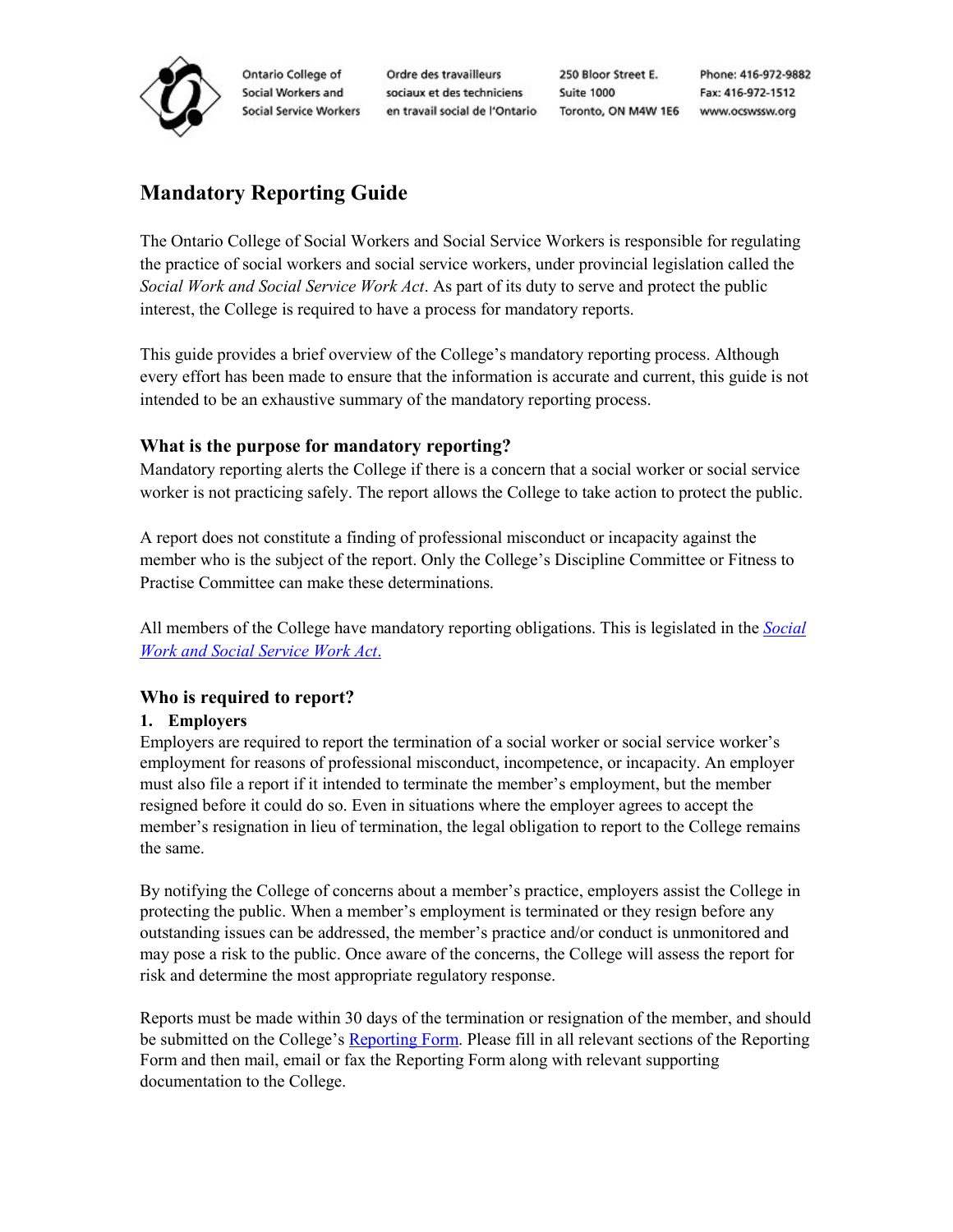

Ontario College of Social Workers and **Social Service Workers**  Ordre des travailleurs sociaux et des techniciens en travail social de l'Ontario

250 Bloor Street E. Suite 1000 Toronto, ON M4W 1E6 www.ocswssw.org

Phone: 416-972-9882 Fax: 416-972-1512

# **Mandatory Reporting Guide**

The Ontario College of Social Workers and Social Service Workers is responsible for regulating the practice of social workers and social service workers, under provincial legislation called the *Social Work and Social Service Work Act*. As part of its duty to serve and protect the public interest, the College is required to have a process for mandatory reports.

This guide provides a brief overview of the College's mandatory reporting process. Although every effort has been made to ensure that the information is accurate and current, this guide is not intended to be an exhaustive summary of the mandatory reporting process.

# **What is the purpose for mandatory reporting?**

Mandatory reporting alerts the College if there is a concern that a social worker or social service worker is not practicing safely. The report allows the College to take action to protect the public.

A report does not constitute a finding of professional misconduct or incapacity against the member who is the subject of the report. Only the College's Discipline Committee or Fitness to Practise Committee can make these determinations.

All members of the College have mandatory reporting obligations. This is legislated in the *[Social](https://www.ontario.ca/laws/statute/98s31#BK58)  [Work and Social Service Work Act](https://www.ontario.ca/laws/statute/98s31#BK58)*.

# **Who is required to report?**

## **1. Employers**

Employers are required to report the termination of a social worker or social service worker's employment for reasons of professional misconduct, incompetence, or incapacity. An employer must also file a report if it intended to terminate the member's employment, but the member resigned before it could do so. Even in situations where the employer agrees to accept the member's resignation in lieu of termination, the legal obligation to report to the College remains the same.

By notifying the College of concerns about a member's practice, employers assist the College in protecting the public. When a member's employment is terminated or they resign before any outstanding issues can be addressed, the member's practice and/or conduct is unmonitored and may pose a risk to the public. Once aware of the concerns, the College will assess the report for risk and determine the most appropriate regulatory response.

Reports must be made within 30 days of the termination or resignation of the member, and should be submitted on the College's [Reporting Form.](https://www.ocswssw.org/wp-content/uploads/2019/11/Reporting_Form-EN.pdf) Please fill in all relevant sections of the Reporting Form and then mail, email or fax the Reporting Form along with relevant supporting documentation to the College.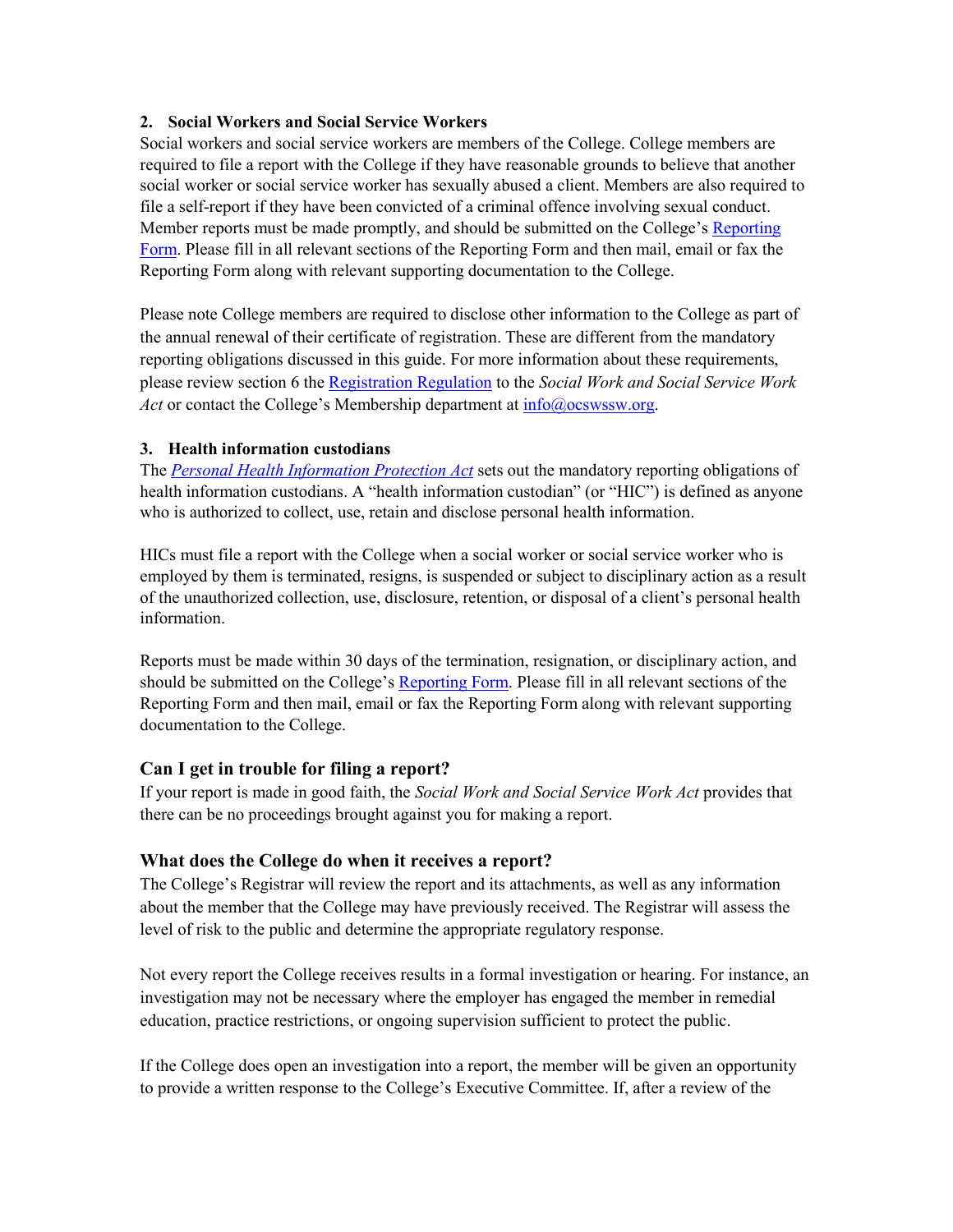#### **2. Social Workers and Social Service Workers**

Social workers and social service workers are members of the College. College members are required to file a report with the College if they have reasonable grounds to believe that another social worker or social service worker has sexually abused a client. Members are also required to file a self-report if they have been convicted of a criminal offence involving sexual conduct. Member reports must be made promptly, and should be submitted on the College's Reporting [Form.](https://www.ocswssw.org/wp-content/uploads/2019/11/Reporting_Form-EN.pdf) Please fill in all relevant sections of the Reporting Form and then mail, email or fax the Reporting Form along with relevant supporting documentation to the College.

Please note College members are required to disclose other information to the College as part of the annual renewal of their certificate of registration. These are different from the mandatory reporting obligations discussed in this guide. For more information about these requirements, please review section 6 the [Registration Regulation](https://www.ontario.ca/laws/regulation/000383) to the *Social Work and Social Service Work Act* or contact the College's Membership department at  $info@$ <sub>o</sub>cswssw.org.

#### **3. Health information custodians**

The *[Personal Health Information Protection Act](https://www.ontario.ca/laws/statute/04p03)* sets out the mandatory reporting obligations of health information custodians. A "health information custodian" (or "HIC") is defined as anyone who is authorized to collect, use, retain and disclose personal health information.

HICs must file a report with the College when a social worker or social service worker who is employed by them is terminated, resigns, is suspended or subject to disciplinary action as a result of the unauthorized collection, use, disclosure, retention, or disposal of a client's personal health information.

Reports must be made within 30 days of the termination, resignation, or disciplinary action, and should be submitted on the College's [Reporting Form.](https://www.ocswssw.org/wp-content/uploads/2019/11/Reporting_Form-EN.pdf) Please fill in all relevant sections of the Reporting Form and then mail, email or fax the Reporting Form along with relevant supporting documentation to the College.

## **Can I get in trouble for filing a report?**

If your report is made in good faith, the *Social Work and Social Service Work Act* provides that there can be no proceedings brought against you for making a report.

## **What does the College do when it receives a report?**

The College's Registrar will review the report and its attachments, as well as any information about the member that the College may have previously received. The Registrar will assess the level of risk to the public and determine the appropriate regulatory response.

Not every report the College receives results in a formal investigation or hearing. For instance, an investigation may not be necessary where the employer has engaged the member in remedial education, practice restrictions, or ongoing supervision sufficient to protect the public.

If the College does open an investigation into a report, the member will be given an opportunity to provide a written response to the College's Executive Committee. If, after a review of the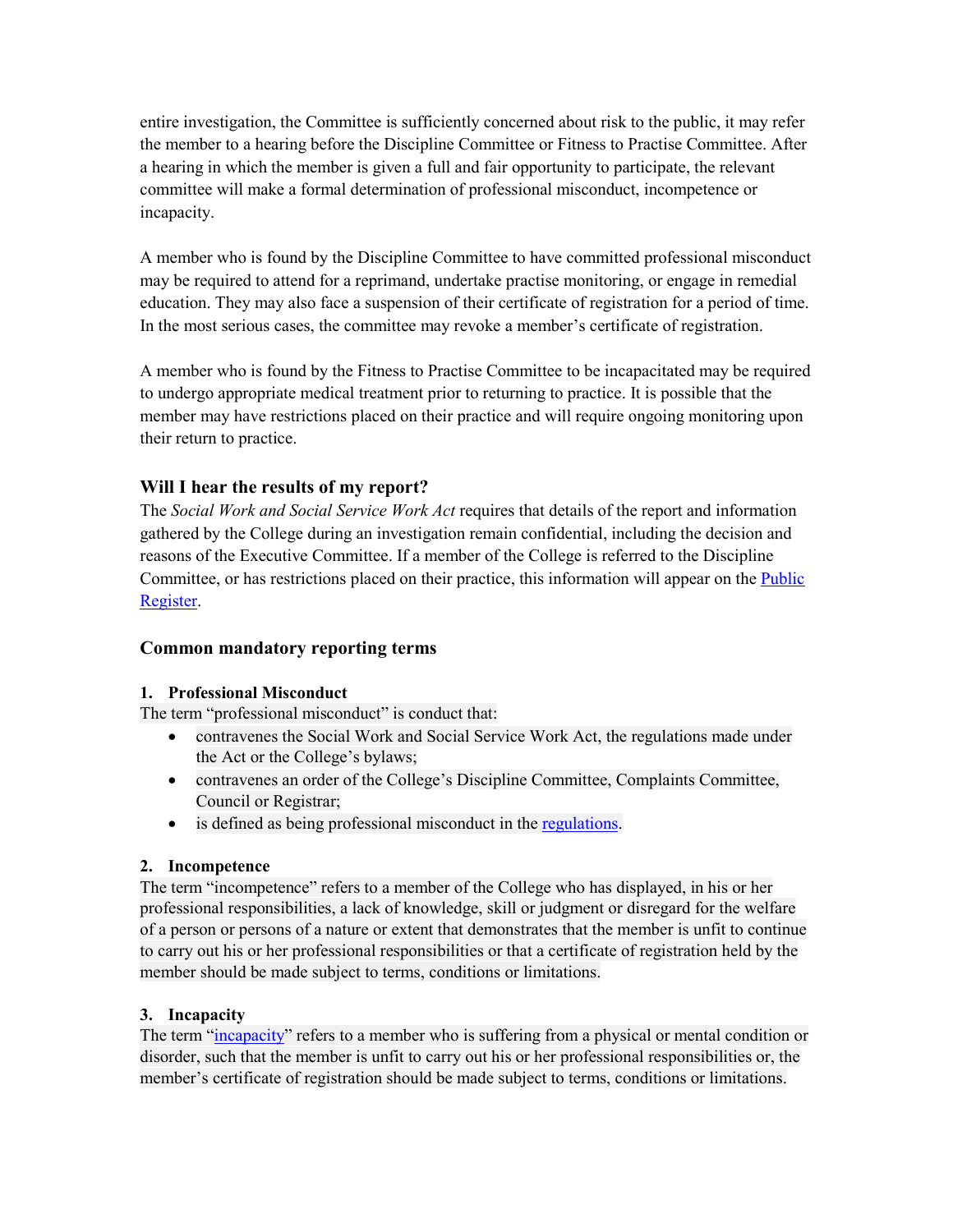entire investigation, the Committee is sufficiently concerned about risk to the public, it may refer the member to a hearing before the Discipline Committee or Fitness to Practise Committee. After a hearing in which the member is given a full and fair opportunity to participate, the relevant committee will make a formal determination of professional misconduct, incompetence or incapacity.

A member who is found by the Discipline Committee to have committed professional misconduct may be required to attend for a reprimand, undertake practise monitoring, or engage in remedial education. They may also face a suspension of their certificate of registration for a period of time. In the most serious cases, the committee may revoke a member's certificate of registration.

A member who is found by the Fitness to Practise Committee to be incapacitated may be required to undergo appropriate medical treatment prior to returning to practice. It is possible that the member may have restrictions placed on their practice and will require ongoing monitoring upon their return to practice.

# **Will I hear the results of my report?**

The *Social Work and Social Service Work Act* requires that details of the report and information gathered by the College during an investigation remain confidential, including the decision and reasons of the Executive Committee. If a member of the College is referred to the Discipline Committee, or has restrictions placed on their practice, this information will appear on the [Public](http://www.ocswssw.org/members/online-register/)  [Register.](http://www.ocswssw.org/members/online-register/)

## **Common mandatory reporting terms**

## **1. Professional Misconduct**

The term "professional misconduct" is conduct that:

- contravenes the Social Work and Social Service Work Act, the regulations made under the Act or the College's bylaws;
- contravenes an order of the College's Discipline Committee, Complaints Committee, Council or Registrar;
- is defined as being professional misconduct in the regulations.

## **2. Incompetence**

The term "incompetence" refers to a member of the College who has displayed, in his or her professional responsibilities, a lack of knowledge, skill or judgment or disregard for the welfare of a person or persons of a nature or extent that demonstrates that the member is unfit to continue to carry out his or her professional responsibilities or that a certificate of registration held by the member should be made subject to terms, conditions or limitations.

## **3. Incapacity**

The term ["incapacity"](http://www.ocswssw.org/complaints-discipline/what-is-incapacity/) refers to a member who is suffering from a physical or mental condition or disorder, such that the member is unfit to carry out his or her professional responsibilities or, the member's certificate of registration should be made subject to terms, conditions or limitations.